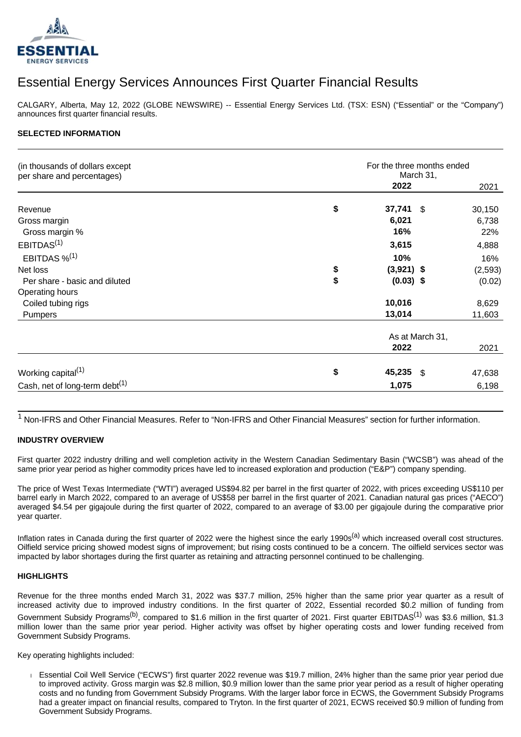

# Essential Energy Services Announces First Quarter Financial Results

CALGARY, Alberta, May 12, 2022 (GLOBE NEWSWIRE) -- Essential Energy Services Ltd. (TSX: ESN) ("Essential" or the "Company") announces first quarter financial results.

#### **SELECTED INFORMATION**

| (in thousands of dollars except<br>per share and percentages) | For the three months ended<br>March 31, |          |
|---------------------------------------------------------------|-----------------------------------------|----------|
|                                                               | 2022                                    | 2021     |
| Revenue                                                       | \$<br>37,741 \$                         | 30,150   |
| Gross margin                                                  | 6,021                                   | 6,738    |
| Gross margin %                                                | 16%                                     | 22%      |
| EBITDAS <sup>(1)</sup>                                        | 3,615                                   | 4,888    |
| EBITDAS $\frac{1}{2}$ <sup>(1)</sup>                          | 10%                                     | 16%      |
| Net loss                                                      | \$<br>$(3,921)$ \$                      | (2, 593) |
| Per share - basic and diluted                                 | \$<br>$(0.03)$ \$                       | (0.02)   |
| Operating hours                                               |                                         |          |
| Coiled tubing rigs                                            | 10,016                                  | 8,629    |
| <b>Pumpers</b>                                                | 13,014                                  | 11,603   |
|                                                               | As at March 31,                         |          |
|                                                               | 2022                                    | 2021     |
| Working capital <sup>(1)</sup>                                | \$<br>45,235 \$                         | 47,638   |
| Cash, net of long-term debt <sup>(1)</sup>                    | 1,075                                   | 6,198    |

<sup>1</sup> Non-IFRS and Other Financial Measures. Refer to "Non-IFRS and Other Financial Measures" section for further information.

#### **INDUSTRY OVERVIEW**

First quarter 2022 industry drilling and well completion activity in the Western Canadian Sedimentary Basin ("WCSB") was ahead of the same prior year period as higher commodity prices have led to increased exploration and production ("E&P") company spending.

The price of West Texas Intermediate ("WTI") averaged US\$94.82 per barrel in the first quarter of 2022, with prices exceeding US\$110 per barrel early in March 2022, compared to an average of US\$58 per barrel in the first quarter of 2021. Canadian natural gas prices ("AECO") averaged \$4.54 per gigajoule during the first quarter of 2022, compared to an average of \$3.00 per gigajoule during the comparative prior year quarter.

Inflation rates in Canada during the first quarter of 2022 were the highest since the early 1990s<sup>(a)</sup> which increased overall cost structures. Oilfield service pricing showed modest signs of improvement; but rising costs continued to be a concern. The oilfield services sector was impacted by labor shortages during the first quarter as retaining and attracting personnel continued to be challenging.

#### **HIGHLIGHTS**

Revenue for the three months ended March 31, 2022 was \$37.7 million, 25% higher than the same prior year quarter as a result of increased activity due to improved industry conditions. In the first quarter of 2022, Essential recorded \$0.2 million of funding from Government Subsidy Programs<sup>(b)</sup>, compared to \$1.6 million in the first quarter of 2021. First quarter EBITDAS<sup>(1)</sup> was \$3.6 million, \$1.3 million lower than the same prior year period. Higher activity was offset by higher operating costs and lower funding received from Government Subsidy Programs.

Key operating highlights included:

 Essential Coil Well Service ("ECWS") first quarter 2022 revenue was \$19.7 million, 24% higher than the same prior year period due to improved activity. Gross margin was \$2.8 million, \$0.9 million lower than the same prior year period as a result of higher operating costs and no funding from Government Subsidy Programs. With the larger labor force in ECWS, the Government Subsidy Programs had a greater impact on financial results, compared to Tryton. In the first quarter of 2021, ECWS received \$0.9 million of funding from Government Subsidy Programs.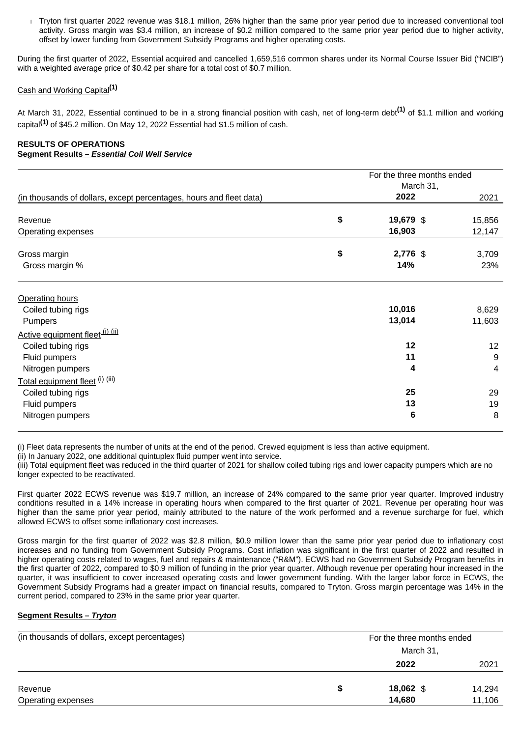Tryton first quarter 2022 revenue was \$18.1 million, 26% higher than the same prior year period due to increased conventional tool activity. Gross margin was \$3.4 million, an increase of \$0.2 million compared to the same prior year period due to higher activity, offset by lower funding from Government Subsidy Programs and higher operating costs.

During the first quarter of 2022, Essential acquired and cancelled 1,659,516 common shares under its Normal Course Issuer Bid ("NCIB") with a weighted average price of \$0.42 per share for a total cost of \$0.7 million.

### Cash and Working Capital**(1)**

At March 31, 2022, Essential continued to be in a strong financial position with cash, net of long-term debt**(1)** of \$1.1 million and working capital**(1)** of \$45.2 million. On May 12, 2022 Essential had \$1.5 million of cash.

#### **RESULTS OF OPERATIONS Segment Results – Essential Coil Well Service**

|                                                                     | For the three months ended | March 31, |                 |
|---------------------------------------------------------------------|----------------------------|-----------|-----------------|
| (in thousands of dollars, except percentages, hours and fleet data) | 2022                       |           | 2021            |
| Revenue                                                             | \$<br>19,679 \$            |           | 15,856          |
| Operating expenses                                                  | 16,903                     |           | 12,147          |
| Gross margin<br>Gross margin %                                      | \$<br>2,776 \$<br>14%      |           | 3,709<br>23%    |
| <b>Operating hours</b><br>Coiled tubing rigs<br>Pumpers             | 10,016<br>13,014           |           | 8,629<br>11,603 |
| Active equipment fleet (i) (ii)                                     |                            |           |                 |
| Coiled tubing rigs                                                  | 12                         |           | 12              |
| Fluid pumpers<br>Nitrogen pumpers                                   | 11<br>4                    |           | 9<br>4          |
| Total equipment fleet (i) (iii)                                     |                            |           |                 |
| Coiled tubing rigs                                                  | 25                         |           | 29              |
| Fluid pumpers<br>Nitrogen pumpers                                   | 13<br>6                    |           | 19<br>8         |

(i) Fleet data represents the number of units at the end of the period. Crewed equipment is less than active equipment.

(ii) In January 2022, one additional quintuplex fluid pumper went into service.

(iii) Total equipment fleet was reduced in the third quarter of 2021 for shallow coiled tubing rigs and lower capacity pumpers which are no longer expected to be reactivated.

First quarter 2022 ECWS revenue was \$19.7 million, an increase of 24% compared to the same prior year quarter. Improved industry conditions resulted in a 14% increase in operating hours when compared to the first quarter of 2021. Revenue per operating hour was higher than the same prior year period, mainly attributed to the nature of the work performed and a revenue surcharge for fuel, which allowed ECWS to offset some inflationary cost increases.

Gross margin for the first quarter of 2022 was \$2.8 million, \$0.9 million lower than the same prior year period due to inflationary cost increases and no funding from Government Subsidy Programs. Cost inflation was significant in the first quarter of 2022 and resulted in higher operating costs related to wages, fuel and repairs & maintenance ("R&M"). ECWS had no Government Subsidy Program benefits in the first quarter of 2022, compared to \$0.9 million of funding in the prior year quarter. Although revenue per operating hour increased in the quarter, it was insufficient to cover increased operating costs and lower government funding. With the larger labor force in ECWS, the Government Subsidy Programs had a greater impact on financial results, compared to Tryton. Gross margin percentage was 14% in the current period, compared to 23% in the same prior year quarter.

#### **Segment Results – Tryton**

| (in thousands of dollars, except percentages) | For the three months ended |        |
|-----------------------------------------------|----------------------------|--------|
|                                               | March 31,                  |        |
|                                               | 2022                       | 2021   |
| Revenue                                       | 18,062 \$                  | 14,294 |
| Operating expenses                            | 14,680                     | 11,106 |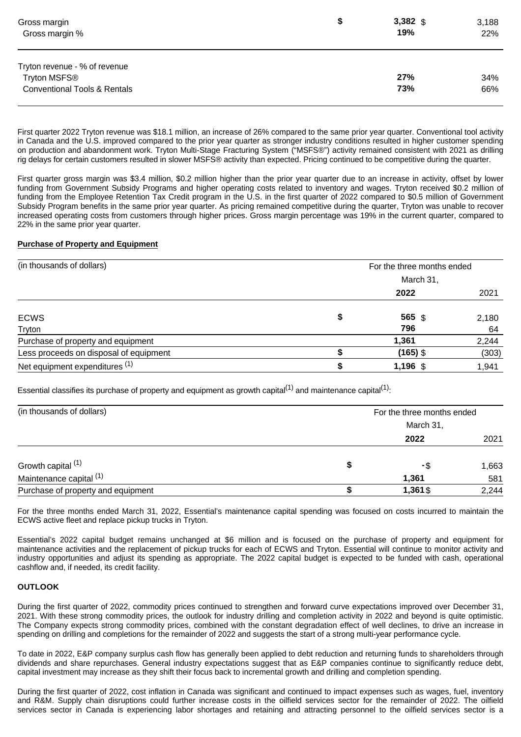| Gross margin                                                                             | \$<br>$3,382$ \$ | 3,188      |
|------------------------------------------------------------------------------------------|------------------|------------|
| Gross margin %                                                                           | 19%              | 22%        |
| Tryton revenue - % of revenue<br>Tryton MSFS®<br><b>Conventional Tools &amp; Rentals</b> | 27%<br>73%       | 34%<br>66% |

First quarter 2022 Tryton revenue was \$18.1 million, an increase of 26% compared to the same prior year quarter. Conventional tool activity in Canada and the U.S. improved compared to the prior year quarter as stronger industry conditions resulted in higher customer spending on production and abandonment work. Tryton Multi-Stage Fracturing System ("MSFS®") activity remained consistent with 2021 as drilling rig delays for certain customers resulted in slower MSFS® activity than expected. Pricing continued to be competitive during the quarter.

First quarter gross margin was \$3.4 million, \$0.2 million higher than the prior year quarter due to an increase in activity, offset by lower funding from Government Subsidy Programs and higher operating costs related to inventory and wages. Tryton received \$0.2 million of funding from the Employee Retention Tax Credit program in the U.S. in the first quarter of 2022 compared to \$0.5 million of Government Subsidy Program benefits in the same prior year quarter. As pricing remained competitive during the quarter, Tryton was unable to recover increased operating costs from customers through higher prices. Gross margin percentage was 19% in the current quarter, compared to 22% in the same prior year quarter.

#### **Purchase of Property and Equipment**

| (in thousands of dollars)              | For the three months ended |       |
|----------------------------------------|----------------------------|-------|
|                                        | March 31,                  |       |
|                                        | 2022                       | 2021  |
| <b>ECWS</b>                            | \$<br>565 \$               | 2,180 |
| Tryton                                 | 796                        | 64    |
| Purchase of property and equipment     | 1,361                      | 2,244 |
| Less proceeds on disposal of equipment | $(165)$ \$                 | (303) |
| Net equipment expenditures (1)         | $1,196$ \$                 | 1,941 |

Essential classifies its purchase of property and equipment as growth capital<sup>(1)</sup> and maintenance capital<sup>(1)</sup>:

| (in thousands of dollars)          | For the three months ended |       |  |
|------------------------------------|----------------------------|-------|--|
|                                    | March 31,                  |       |  |
|                                    | 2022                       | 2021  |  |
| Growth capital (1)                 | -\$                        | 1,663 |  |
| Maintenance capital (1)            | 1,361                      | 581   |  |
| Purchase of property and equipment | 1,361\$                    | 2,244 |  |

For the three months ended March 31, 2022, Essential's maintenance capital spending was focused on costs incurred to maintain the ECWS active fleet and replace pickup trucks in Tryton.

Essential's 2022 capital budget remains unchanged at \$6 million and is focused on the purchase of property and equipment for maintenance activities and the replacement of pickup trucks for each of ECWS and Tryton. Essential will continue to monitor activity and industry opportunities and adjust its spending as appropriate. The 2022 capital budget is expected to be funded with cash, operational cashflow and, if needed, its credit facility.

#### **OUTLOOK**

During the first quarter of 2022, commodity prices continued to strengthen and forward curve expectations improved over December 31, 2021. With these strong commodity prices, the outlook for industry drilling and completion activity in 2022 and beyond is quite optimistic. The Company expects strong commodity prices, combined with the constant degradation effect of well declines, to drive an increase in spending on drilling and completions for the remainder of 2022 and suggests the start of a strong multi-year performance cycle.

To date in 2022, E&P company surplus cash flow has generally been applied to debt reduction and returning funds to shareholders through dividends and share repurchases. General industry expectations suggest that as E&P companies continue to significantly reduce debt, capital investment may increase as they shift their focus back to incremental growth and drilling and completion spending.

During the first quarter of 2022, cost inflation in Canada was significant and continued to impact expenses such as wages, fuel, inventory and R&M. Supply chain disruptions could further increase costs in the oilfield services sector for the remainder of 2022. The oilfield services sector in Canada is experiencing labor shortages and retaining and attracting personnel to the oilfield services sector is a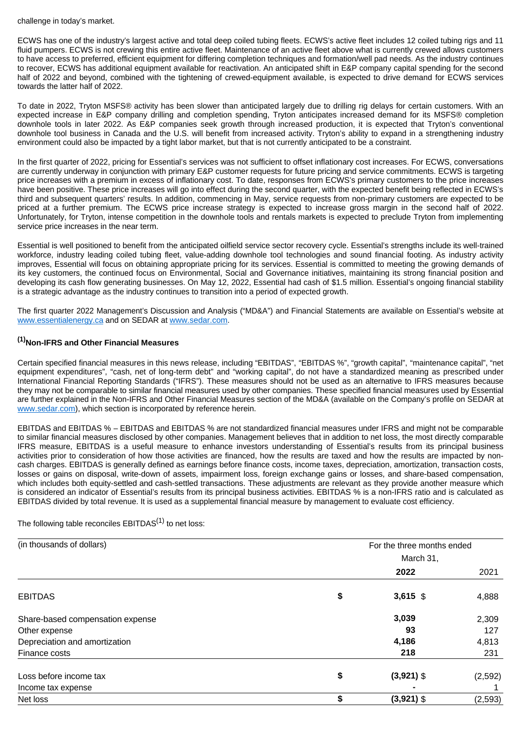challenge in today's market.

ECWS has one of the industry's largest active and total deep coiled tubing fleets. ECWS's active fleet includes 12 coiled tubing rigs and 11 fluid pumpers. ECWS is not crewing this entire active fleet. Maintenance of an active fleet above what is currently crewed allows customers to have access to preferred, efficient equipment for differing completion techniques and formation/well pad needs. As the industry continues to recover, ECWS has additional equipment available for reactivation. An anticipated shift in E&P company capital spending for the second half of 2022 and beyond, combined with the tightening of crewed-equipment available, is expected to drive demand for ECWS services towards the latter half of 2022.

To date in 2022, Tryton MSFS® activity has been slower than anticipated largely due to drilling rig delays for certain customers. With an expected increase in E&P company drilling and completion spending, Tryton anticipates increased demand for its MSFS® completion downhole tools in later 2022. As E&P companies seek growth through increased production, it is expected that Tryton's conventional downhole tool business in Canada and the U.S. will benefit from increased activity. Tryton's ability to expand in a strengthening industry environment could also be impacted by a tight labor market, but that is not currently anticipated to be a constraint.

In the first quarter of 2022, pricing for Essential's services was not sufficient to offset inflationary cost increases. For ECWS, conversations are currently underway in conjunction with primary E&P customer requests for future pricing and service commitments. ECWS is targeting price increases with a premium in excess of inflationary cost. To date, responses from ECWS's primary customers to the price increases have been positive. These price increases will go into effect during the second quarter, with the expected benefit being reflected in ECWS's third and subsequent quarters' results. In addition, commencing in May, service requests from non-primary customers are expected to be priced at a further premium. The ECWS price increase strategy is expected to increase gross margin in the second half of 2022. Unfortunately, for Tryton, intense competition in the downhole tools and rentals markets is expected to preclude Tryton from implementing service price increases in the near term.

Essential is well positioned to benefit from the anticipated oilfield service sector recovery cycle. Essential's strengths include its well-trained workforce, industry leading coiled tubing fleet, value-adding downhole tool technologies and sound financial footing. As industry activity improves, Essential will focus on obtaining appropriate pricing for its services. Essential is committed to meeting the growing demands of its key customers, the continued focus on Environmental, Social and Governance initiatives, maintaining its strong financial position and developing its cash flow generating businesses. On May 12, 2022, Essential had cash of \$1.5 million. Essential's ongoing financial stability is a strategic advantage as the industry continues to transition into a period of expected growth.

The first quarter 2022 Management's Discussion and Analysis ("MD&A") and Financial Statements are available on Essential's website at [www.essentialenergy.ca](http://www.essentialenergy.ca/) and on SEDAR at [www.sedar.com.](http://www.sedar.com/)

## **(1)Non-IFRS and Other Financial Measures**

Certain specified financial measures in this news release, including "EBITDAS", "EBITDAS %", "growth capital", "maintenance capital", "net equipment expenditures", "cash, net of long-term debt" and "working capital", do not have a standardized meaning as prescribed under International Financial Reporting Standards ("IFRS"). These measures should not be used as an alternative to IFRS measures because they may not be comparable to similar financial measures used by other companies. These specified financial measures used by Essential are further explained in the Non-IFRS and Other Financial Measures section of the MD&A (available on the Company's profile on SEDAR at [www.sedar.com\)](http://www.sedar.com/), which section is incorporated by reference herein.

EBITDAS and EBITDAS % – EBITDAS and EBITDAS % are not standardized financial measures under IFRS and might not be comparable to similar financial measures disclosed by other companies. Management believes that in addition to net loss, the most directly comparable IFRS measure, EBITDAS is a useful measure to enhance investors understanding of Essential's results from its principal business activities prior to consideration of how those activities are financed, how the results are taxed and how the results are impacted by noncash charges. EBITDAS is generally defined as earnings before finance costs, income taxes, depreciation, amortization, transaction costs, losses or gains on disposal, write-down of assets, impairment loss, foreign exchange gains or losses, and share-based compensation, which includes both equity-settled and cash-settled transactions. These adjustments are relevant as they provide another measure which is considered an indicator of Essential's results from its principal business activities. EBITDAS % is a non-IFRS ratio and is calculated as EBITDAS divided by total revenue. It is used as a supplemental financial measure by management to evaluate cost efficiency.

The following table reconciles  $EBITDAS<sup>(1)</sup>$  to net loss:

| (in thousands of dollars)        |           | For the three months ended |         |
|----------------------------------|-----------|----------------------------|---------|
|                                  | March 31, |                            |         |
|                                  |           | 2022                       | 2021    |
| <b>EBITDAS</b>                   | \$        | $3,615$ \$                 | 4,888   |
| Share-based compensation expense |           | 3,039                      | 2,309   |
| Other expense                    |           | 93                         | 127     |
| Depreciation and amortization    |           | 4,186                      | 4,813   |
| Finance costs                    |           | 218                        | 231     |
| Loss before income tax           | \$        | $(3,921)$ \$               | (2,592) |
| Income tax expense               |           |                            |         |
| Net loss                         | \$        | $(3,921)$ \$               | (2,593) |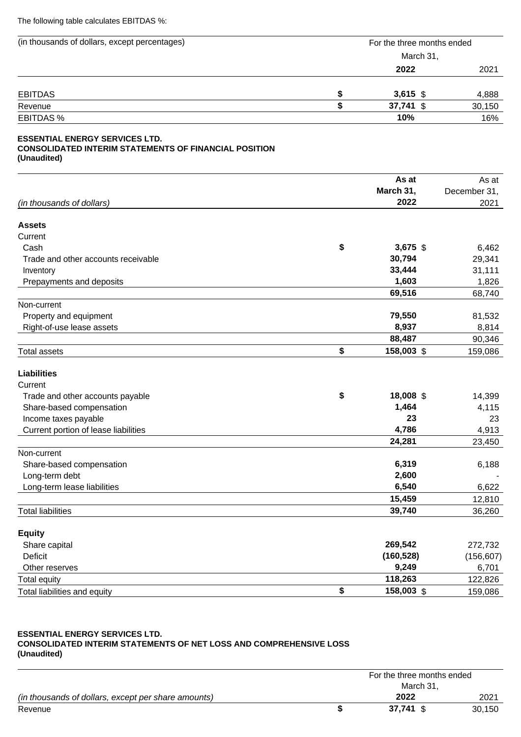The following table calculates EBITDAS %:

| (in thousands of dollars, except percentages)                                                                        | For the three months ended  |                    |
|----------------------------------------------------------------------------------------------------------------------|-----------------------------|--------------------|
|                                                                                                                      | March 31,                   |                    |
|                                                                                                                      | 2022                        | 2021               |
| <b>EBITDAS</b>                                                                                                       | \$<br>$3,615$ \$            | 4,888              |
| Revenue                                                                                                              | \$<br>37,741 \$             | 30,150             |
| <b>EBITDAS%</b>                                                                                                      | 10%                         | 16%                |
| <b>ESSENTIAL ENERGY SERVICES LTD.</b><br><b>CONSOLIDATED INTERIM STATEMENTS OF FINANCIAL POSITION</b><br>(Unaudited) |                             |                    |
|                                                                                                                      | As at                       | As at              |
|                                                                                                                      | March 31,                   | December 31,       |
| (in thousands of dollars)                                                                                            | 2022                        | 2021               |
| <b>Assets</b>                                                                                                        |                             |                    |
| Current                                                                                                              |                             |                    |
| Cash                                                                                                                 | \$<br>3,675 \$              | 6,462              |
| Trade and other accounts receivable                                                                                  | 30,794                      | 29,341             |
| Inventory                                                                                                            | 33,444                      | 31,111             |
| Prepayments and deposits                                                                                             | 1,603                       | 1,826              |
|                                                                                                                      | 69,516                      | 68,740             |
| Non-current                                                                                                          | 79,550                      | 81,532             |
| Property and equipment<br>Right-of-use lease assets                                                                  | 8,937                       | 8,814              |
|                                                                                                                      | 88,487                      | 90,346             |
| <b>Total assets</b>                                                                                                  | \$<br>158,003 \$            | 159,086            |
| <b>Liabilities</b>                                                                                                   |                             |                    |
| Current                                                                                                              |                             |                    |
| Trade and other accounts payable                                                                                     | \$<br>18,008 \$             | 14,399             |
| Share-based compensation                                                                                             | 1,464                       | 4,115              |
| Income taxes payable                                                                                                 | 23                          | 23                 |
| Current portion of lease liabilities                                                                                 | 4,786                       | 4,913              |
|                                                                                                                      | 24,281                      | 23,450             |
| Non-current                                                                                                          |                             |                    |
| Share-based compensation                                                                                             | 6,319                       | 6,188              |
| Long-term debt<br>Long-term lease liabilities                                                                        | 2,600<br>6,540              | 6,622              |
|                                                                                                                      | 15,459                      | 12,810             |
| <b>Total liabilities</b>                                                                                             | 39,740                      | 36,260             |
|                                                                                                                      |                             |                    |
| <b>Equity</b>                                                                                                        |                             |                    |
| Share capital                                                                                                        | 269,542                     | 272,732            |
| <b>Deficit</b>                                                                                                       | (160, 528)                  | (156, 607)         |
| Other reserves                                                                                                       |                             |                    |
|                                                                                                                      | 9,249                       | 6,701              |
| <b>Total equity</b><br>Total liabilities and equity                                                                  | \$<br>118,263<br>158,003 \$ | 122,826<br>159,086 |

#### **ESSENTIAL ENERGY SERVICES LTD. CONSOLIDATED INTERIM STATEMENTS OF NET LOSS AND COMPREHENSIVE LOSS (Unaudited)**

|                                                     | For the three months ended |        |  |
|-----------------------------------------------------|----------------------------|--------|--|
|                                                     | March 31.                  |        |  |
| (in thousands of dollars, except per share amounts) | 2022                       | 2021   |  |
| Revenue                                             | $37.741$ \$                | 30.150 |  |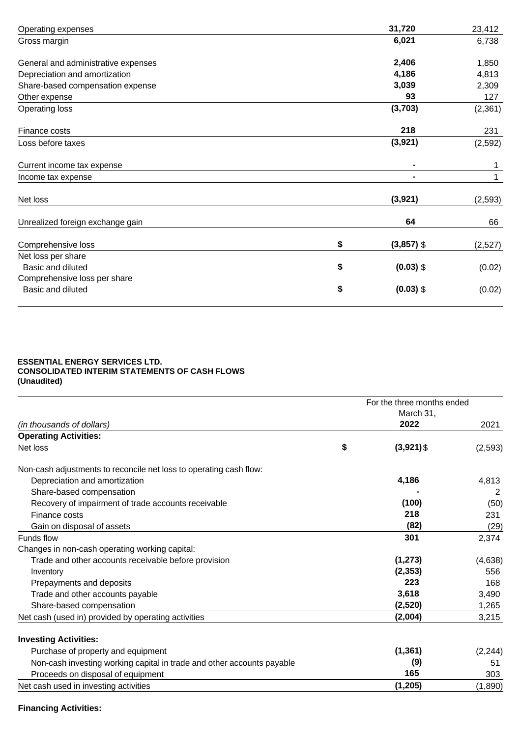| Operating expenses                  | 31,720             | 23,412   |
|-------------------------------------|--------------------|----------|
| Gross margin                        | 6,021              | 6,738    |
| General and administrative expenses | 2,406              | 1,850    |
| Depreciation and amortization       | 4,186              | 4,813    |
| Share-based compensation expense    | 3,039              | 2,309    |
| Other expense                       | 93                 | 127      |
| <b>Operating loss</b>               | (3,703)            | (2,361)  |
| Finance costs                       | 218                | 231      |
| Loss before taxes                   | (3,921)            | (2,592)  |
| Current income tax expense          |                    | 1        |
| Income tax expense                  |                    | 1        |
| Net loss                            | (3,921)            | (2, 593) |
| Unrealized foreign exchange gain    | 64                 | 66       |
| Comprehensive loss                  | \$<br>$(3,857)$ \$ | (2,527)  |
| Net loss per share                  |                    |          |
| Basic and diluted                   | \$<br>$(0.03)$ \$  | (0.02)   |
| Comprehensive loss per share        |                    |          |
| <b>Basic and diluted</b>            | \$<br>$(0.03)$ \$  | (0.02)   |

#### **ESSENTIAL ENERGY SERVICES LTD. CONSOLIDATED INTERIM STATEMENTS OF CASH FLOWS (Unaudited)**

|                                                                        |    | For the three months ended<br>March 31, |          |
|------------------------------------------------------------------------|----|-----------------------------------------|----------|
| (in thousands of dollars)                                              |    | 2022                                    | 2021     |
| <b>Operating Activities:</b>                                           |    |                                         |          |
| Net loss                                                               | \$ | $(3,921)$ \$                            | (2, 593) |
| Non-cash adjustments to reconcile net loss to operating cash flow:     |    |                                         |          |
| Depreciation and amortization                                          |    | 4,186                                   | 4,813    |
| Share-based compensation                                               |    |                                         | 2        |
| Recovery of impairment of trade accounts receivable                    |    | (100)                                   | (50)     |
| Finance costs                                                          |    | 218                                     | 231      |
| Gain on disposal of assets                                             |    | (82)                                    | (29)     |
| Funds flow                                                             |    | 301                                     | 2,374    |
| Changes in non-cash operating working capital:                         |    |                                         |          |
| Trade and other accounts receivable before provision                   |    | (1, 273)                                | (4,638)  |
| Inventory                                                              |    | (2, 353)                                | 556      |
| Prepayments and deposits                                               |    | 223                                     | 168      |
| Trade and other accounts payable                                       |    | 3,618                                   | 3,490    |
| Share-based compensation                                               |    | (2,520)                                 | 1,265    |
| Net cash (used in) provided by operating activities                    |    | (2,004)                                 | 3,215    |
| <b>Investing Activities:</b>                                           |    |                                         |          |
| Purchase of property and equipment                                     |    | (1, 361)                                | (2, 244) |
| Non-cash investing working capital in trade and other accounts payable |    | (9)                                     | 51       |
| Proceeds on disposal of equipment                                      |    | 165                                     | 303      |
| Net cash used in investing activities                                  |    | (1, 205)                                | (1,890)  |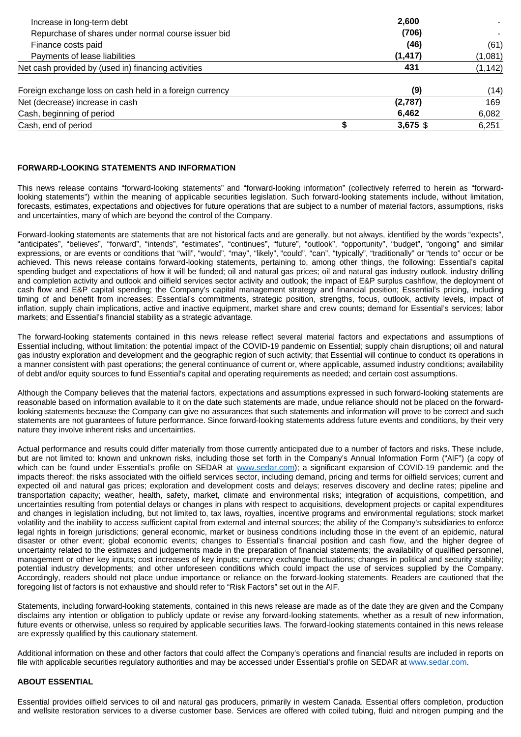| Increase in long-term debt                               | 2,600    |          |
|----------------------------------------------------------|----------|----------|
| Repurchase of shares under normal course issuer bid      | (706)    |          |
| Finance costs paid                                       | (46)     | (61)     |
| Payments of lease liabilities                            | (1, 417) | (1,081)  |
| Net cash provided by (used in) financing activities      | 431      | (1, 142) |
| Foreign exchange loss on cash held in a foreign currency | (9)      | (14)     |
| Net (decrease) increase in cash                          | (2,787)  | 169      |
| Cash, beginning of period                                | 6,462    | 6,082    |
| Cash, end of period                                      | 3,675 \$ | 6,251    |

#### **FORWARD-LOOKING STATEMENTS AND INFORMATION**

This news release contains "forward-looking statements" and "forward-looking information" (collectively referred to herein as "forwardlooking statements") within the meaning of applicable securities legislation. Such forward-looking statements include, without limitation, forecasts, estimates, expectations and objectives for future operations that are subject to a number of material factors, assumptions, risks and uncertainties, many of which are beyond the control of the Company.

Forward-looking statements are statements that are not historical facts and are generally, but not always, identified by the words "expects", "anticipates", "believes", "forward", "intends", "estimates", "continues", "future", "outlook", "opportunity", "budget", "ongoing" and similar expressions, or are events or conditions that "will", "would", "may", "likely", "could", "can", "typically", "traditionally" or "tends to" occur or be achieved. This news release contains forward-looking statements, pertaining to, among other things, the following: Essential's capital spending budget and expectations of how it will be funded; oil and natural gas prices; oil and natural gas industry outlook, industry drilling and completion activity and outlook and oilfield services sector activity and outlook; the impact of E&P surplus cashflow, the deployment of cash flow and E&P capital spending; the Company's capital management strategy and financial position; Essential's pricing, including timing of and benefit from increases; Essential's commitments, strategic position, strengths, focus, outlook, activity levels, impact of inflation, supply chain implications, active and inactive equipment, market share and crew counts; demand for Essential's services; labor markets; and Essential's financial stability as a strategic advantage.

The forward-looking statements contained in this news release reflect several material factors and expectations and assumptions of Essential including, without limitation: the potential impact of the COVID-19 pandemic on Essential; supply chain disruptions; oil and natural gas industry exploration and development and the geographic region of such activity; that Essential will continue to conduct its operations in a manner consistent with past operations; the general continuance of current or, where applicable, assumed industry conditions; availability of debt and/or equity sources to fund Essential's capital and operating requirements as needed; and certain cost assumptions.

Although the Company believes that the material factors, expectations and assumptions expressed in such forward-looking statements are reasonable based on information available to it on the date such statements are made, undue reliance should not be placed on the forwardlooking statements because the Company can give no assurances that such statements and information will prove to be correct and such statements are not guarantees of future performance. Since forward-looking statements address future events and conditions, by their very nature they involve inherent risks and uncertainties.

Actual performance and results could differ materially from those currently anticipated due to a number of factors and risks. These include, but are not limited to: known and unknown risks, including those set forth in the Company's Annual Information Form ("AIF") (a copy of which can be found under Essential's profile on SEDAR at [www.sedar.com](http://www.sedar.com/)); a significant expansion of COVID-19 pandemic and the impacts thereof; the risks associated with the oilfield services sector, including demand, pricing and terms for oilfield services; current and expected oil and natural gas prices; exploration and development costs and delays; reserves discovery and decline rates; pipeline and transportation capacity; weather, health, safety, market, climate and environmental risks; integration of acquisitions, competition, and uncertainties resulting from potential delays or changes in plans with respect to acquisitions, development projects or capital expenditures and changes in legislation including, but not limited to, tax laws, royalties, incentive programs and environmental regulations; stock market volatility and the inability to access sufficient capital from external and internal sources; the ability of the Company's subsidiaries to enforce legal rights in foreign jurisdictions; general economic, market or business conditions including those in the event of an epidemic, natural disaster or other event; global economic events; changes to Essential's financial position and cash flow, and the higher degree of uncertainty related to the estimates and judgements made in the preparation of financial statements; the availability of qualified personnel, management or other key inputs; cost increases of key inputs; currency exchange fluctuations; changes in political and security stability; potential industry developments; and other unforeseen conditions which could impact the use of services supplied by the Company. Accordingly, readers should not place undue importance or reliance on the forward-looking statements. Readers are cautioned that the foregoing list of factors is not exhaustive and should refer to "Risk Factors" set out in the AIF.

Statements, including forward-looking statements, contained in this news release are made as of the date they are given and the Company disclaims any intention or obligation to publicly update or revise any forward-looking statements, whether as a result of new information, future events or otherwise, unless so required by applicable securities laws. The forward-looking statements contained in this news release are expressly qualified by this cautionary statement.

Additional information on these and other factors that could affect the Company's operations and financial results are included in reports on file with applicable securities regulatory authorities and may be accessed under Essential's profile on SEDAR at [www.sedar.com](http://www.sedar.com/).

#### **ABOUT ESSENTIAL**

Essential provides oilfield services to oil and natural gas producers, primarily in western Canada. Essential offers completion, production and wellsite restoration services to a diverse customer base. Services are offered with coiled tubing, fluid and nitrogen pumping and the